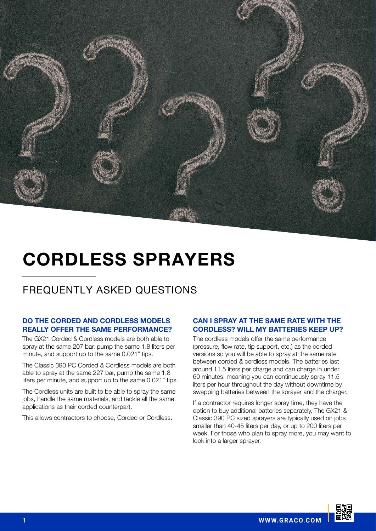

# CORDLESS SPRAYERS

# FREQUENTLY ASKED QUESTIONS

# DO THE CORDED AND CORDLESS MODELS REALLY OFFER THE SAME PERFORMANCE?

The GX21 Corded & Cordless models are both able to spray at the same 207 bar, pump the same 1.8 liters per minute, and support up to the same 0.021" tips.

The Classic 390 PC Corded & Cordless models are both able to spray at the same 227 bar, pump the same 1.8 liters per minute, and support up to the same 0.021" tips.

The Cordless units are built to be able to spray the same jobs, handle the same materials, and tackle all the same applications as their corded counterpart.

This allows contractors to choose, Corded or Cordless.

#### CAN I SPRAY AT THE SAME RATE WITH THE CORDLESS? WILL MY BATTERIES KEEP UP?

The cordless models offer the same performance (pressure, flow rate, tip support, etc.) as the corded versions so you will be able to spray at the same rate between corded & cordless models. The batteries last around 11.5 liters per charge and can charge in under 60 minutes, meaning you can continuously spray 11.5 liters per hour throughout the day without downtime by swapping batteries between the sprayer and the charger.

If a contractor requires longer spray time, they have the option to buy additional batteries separately. The GX21 & Classic 390 PC sized sprayers are typically used on jobs smaller than 40-45 liters per day, or up to 200 liters per week. For those who plan to spray more, you may want to look into a larger sprayer.

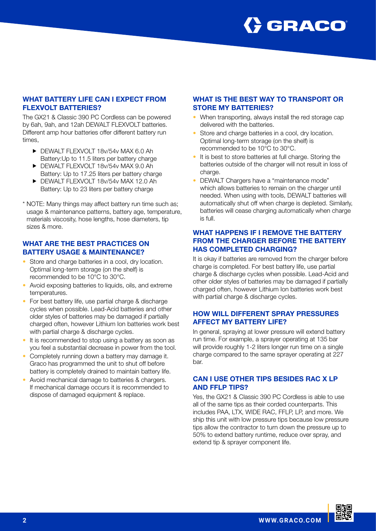

#### WHAT BATTERY LIFE CAN I EXPECT FROM FLEXVOLT BATTERIES?

The GX21 & Classic 390 PC Cordless can be powered by 6ah, 9ah, and 12ah DEWALT FLEXVOLT batteries. Different amp hour batteries offer different battery run times,

- **F** DEWALT FLEXVOLT 18v/54v MAX 6.0 Ah Battery:Up to 11.5 liters per battery charge
- **F** DEWALT FLEXVOLT 18v/54v MAX 9.0 Ah Battery: Up to 17.25 liters per battery charge
- **F** DEWALT FLEXVOLT 18v/54v MAX 12.0 Ah Battery: Up to 23 liters per battery charge
- \* NOTE: Many things may affect battery run time such as; usage & maintenance patterns, battery age, temperature, materials viscosity, hose lengths, hose diameters, tip sizes & more.

#### WHAT ARE THE BEST PRACTICES ON BATTERY USAGE & MAINTENANCE?

- Store and charge batteries in a cool, dry location. Optimal long-term storage (on the shelf) is recommended to be 10°C to 30°C.
- Avoid exposing batteries to liquids, oils, and extreme temperatures.
- For best battery life, use partial charge & discharge cycles when possible. Lead-Acid batteries and other older styles of batteries may be damaged if partially charged often, however Lithium Ion batteries work best with partial charge & discharge cycles.
- It is recommended to stop using a battery as soon as you feel a substantial decrease in power from the tool.
- Completely running down a battery may damage it. Graco has programmed the unit to shut off before battery is completely drained to maintain battery life.
- Avoid mechanical damage to batteries & chargers. If mechanical damage occurs it is recommended to dispose of damaged equipment & replace.

# WHAT IS THE BEST WAY TO TRANSPORT OR STORE MY BATTERIES?

- When transporting, always install the red storage cap delivered with the batteries.
- Store and charge batteries in a cool, dry location. Optimal long-term storage (on the shelf) is recommended to be 10°C to 30°C.
- It is best to store batteries at full charge. Storing the batteries outside of the charger will not result in loss of charge.
- DEWALT Chargers have a "maintenance mode" which allows batteries to remain on the charger until needed. When using with tools, DEWALT batteries will automatically shut off when charge is depleted. Similarly, batteries will cease charging automatically when charge is full.

# WHAT HAPPENS IF I REMOVE THE BATTERY FROM THE CHARGER BEFORE THE BATTERY HAS COMPLETED CHARGING?

It is okay if batteries are removed from the charger before charge is completed. For best battery life, use partial charge & discharge cycles when possible. Lead-Acid and other older styles of batteries may be damaged if partially charged often, however Lithium Ion batteries work best with partial charge & discharge cycles.

#### HOW WILL DIFFERENT SPRAY PRESSURES AFFECT MY BATTERY LIFE?

In general, spraying at lower pressure will extend battery run time. For example, a sprayer operating at 135 bar will provide roughly 1-2 liters longer run time on a single charge compared to the same sprayer operating at 227 bar.

#### CAN I USE OTHER TIPS BESIDES RAC X LP AND FFLP TIPS?

Yes, the GX21 & Classic 390 PC Cordless is able to use all of the same tips as their corded counterparts. This includes PAA, LTX, WIDE RAC, FFLP, LP, and more. We ship this unit with low pressure tips because low pressure tips allow the contractor to turn down the pressure up to 50% to extend battery runtime, reduce over spray, and extend tip & sprayer component life.

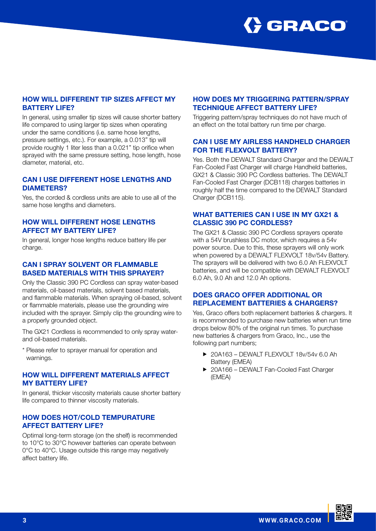

# HOW WILL DIFFERENT TIP SIZES AFFECT MY BATTERY LIFE?

In general, using smaller tip sizes will cause shorter battery life compared to using larger tip sizes when operating under the same conditions (i.e. same hose lengths, pressure settings, etc.). For example, a 0.013" tip will provide roughly 1 liter less than a 0.021" tip orifice when sprayed with the same pressure setting, hose length, hose diameter, material, etc.

# CAN I USE DIFFERENT HOSE LENGTHS AND DIAMETERS?

Yes, the corded & cordless units are able to use all of the same hose lengths and diameters.

#### HOW WILL DIFFERENT HOSE LENGTHS AFFECT MY BATTERY LIFE?

In general, longer hose lengths reduce battery life per charge.

#### CAN I SPRAY SOLVENT OR FLAMMABLE BASED MATERIALS WITH THIS SPRAYER?

Only the Classic 390 PC Cordless can spray water-based materials, oil-based materials, solvent based materials, and flammable materials. When spraying oil-based, solvent or flammable materials, please use the grounding wire included with the sprayer. Simply clip the grounding wire to a properly grounded object.

The GX21 Cordless is recommended to only spray waterand oil-based materials.

\* Please refer to sprayer manual for operation and warnings.

#### HOW WILL DIFFERENT MATERIALS AFFECT MY BATTERY LIFE?

In general, thicker viscosity materials cause shorter battery life compared to thinner viscosity materials.

#### HOW DOES HOT/COLD TEMPURATURE AFFECT BATTERY LIFE?

Optimal long-term storage (on the shelf) is recommended to 10°C to 30°C however batteries can operate between 0°C to 40°C. Usage outside this range may negatively affect battery life.

# HOW DOES MY TRIGGERING PATTERN/SPRAY TECHNIQUE AFFECT BATTERY LIFE?

Triggering pattern/spray techniques do not have much of an effect on the total battery run time per charge.

# CAN I USE MY AIRLESS HANDHELD CHARGER FOR THE FLEXVOLT BATTERY?

Yes. Both the DEWALT Standard Charger and the DEWALT Fan-Cooled Fast Charger will charge Handheld batteries, GX21 & Classic 390 PC Cordless batteries. The DEWALT Fan-Cooled Fast Charger (DCB118) charges batteries in roughly half the time compared to the DEWALT Standard Charger (DCB115).

# WHAT BATTERIES CAN I USE IN MY GX21 & CLASSIC 390 PC CORDLESS?

The GX21 & Classic 390 PC Cordless sprayers operate with a 54V brushless DC motor, which requires a 54v power source. Due to this, these sprayers will only work when powered by a DEWALT FLEXVOLT 18v/54v Battery. The sprayers will be delivered with two 6.0 Ah FLEXVOLT batteries, and will be compatible with DEWALT FLEXVOLT 6.0 Ah, 9.0 Ah and 12.0 Ah options.

# DOES GRACO OFFER ADDITIONAL OR REPLACEMENT BATTERIES & CHARGERS?

Yes, Graco offers both replacement batteries & chargers. It is recommended to purchase new batteries when run time drops below 80% of the original run times. To purchase new batteries & chargers from Graco, Inc., use the following part numbers;

- ▶ 20A163 DEWALT FLEXVOLT 18v/54v 6.0 Ah Battery (EMEA)
- ▶ 20A166 DEWALT Fan-Cooled Fast Charger (EMEA)